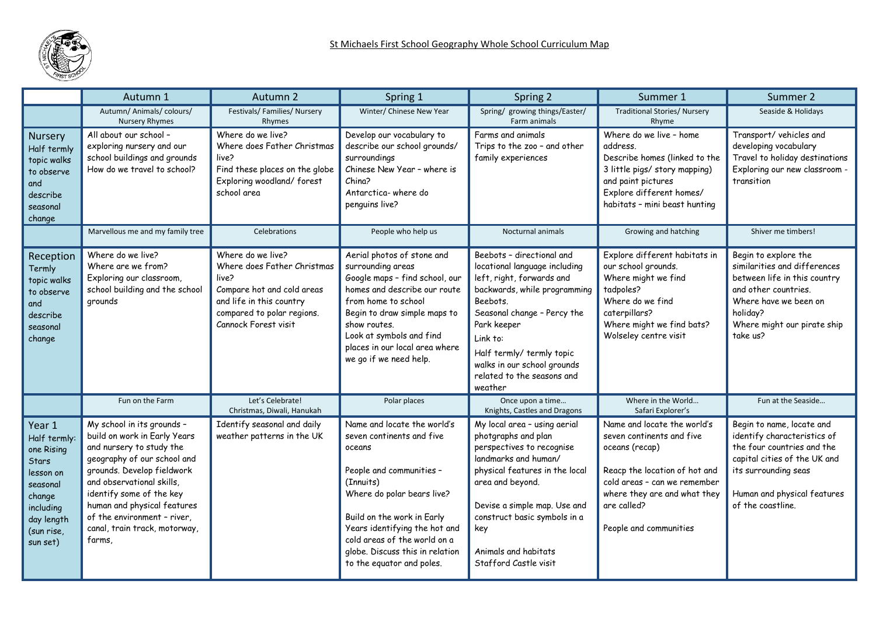

|                                                                                                                                       | Autumn 1                                                                                                                                                                                                                                                                                                              | Autumn 2                                                                                                                                                                  | Spring 1                                                                                                                                                                                                                                                                                                 | Spring 2                                                                                                                                                                                                                                                                                           | Summer 1                                                                                                                                                                                                             | Summer 2                                                                                                                                                                                           |
|---------------------------------------------------------------------------------------------------------------------------------------|-----------------------------------------------------------------------------------------------------------------------------------------------------------------------------------------------------------------------------------------------------------------------------------------------------------------------|---------------------------------------------------------------------------------------------------------------------------------------------------------------------------|----------------------------------------------------------------------------------------------------------------------------------------------------------------------------------------------------------------------------------------------------------------------------------------------------------|----------------------------------------------------------------------------------------------------------------------------------------------------------------------------------------------------------------------------------------------------------------------------------------------------|----------------------------------------------------------------------------------------------------------------------------------------------------------------------------------------------------------------------|----------------------------------------------------------------------------------------------------------------------------------------------------------------------------------------------------|
|                                                                                                                                       | Autumn/ Animals/ colours/<br><b>Nursery Rhymes</b>                                                                                                                                                                                                                                                                    | Festivals/ Families/ Nursery<br>Rhymes                                                                                                                                    | Winter/ Chinese New Year                                                                                                                                                                                                                                                                                 | Spring/ growing things/Easter/<br>Farm animals                                                                                                                                                                                                                                                     | <b>Traditional Stories/ Nursery</b><br>Rhyme                                                                                                                                                                         | Seaside & Holidays                                                                                                                                                                                 |
| Nursery<br>Half termly<br>topic walks<br>to observe<br>and<br>describe<br>seasonal<br>change                                          | All about our school -<br>exploring nursery and our<br>school buildings and grounds<br>How do we travel to school?                                                                                                                                                                                                    | Where do we live?<br>Where does Father Christmas<br>live?<br>Find these places on the globe<br>Exploring woodland/forest<br>school area                                   | Develop our vocabulary to<br>describe our school grounds/<br>surroundings<br>Chinese New Year - where is<br>China?<br>Antarctica-where do<br>penguins live?                                                                                                                                              | Farms and animals<br>Trips to the zoo - and other<br>family experiences                                                                                                                                                                                                                            | Where do we live - home<br>address.<br>Describe homes (linked to the<br>3 little pigs/ story mapping)<br>and paint pictures<br>Explore different homes/<br>habitats - mini beast hunting                             | Transport/ vehicles and<br>developing vocabulary<br>Travel to holiday destinations<br>Exploring our new classroom -<br>transition                                                                  |
|                                                                                                                                       | Marvellous me and my family tree                                                                                                                                                                                                                                                                                      | Celebrations                                                                                                                                                              | People who help us                                                                                                                                                                                                                                                                                       | Nocturnal animals                                                                                                                                                                                                                                                                                  | Growing and hatching                                                                                                                                                                                                 | Shiver me timbers!                                                                                                                                                                                 |
| Reception<br>Termly<br>topic walks<br>to observe<br>and<br>describe<br>seasonal<br>change                                             | Where do we live?<br>Where are we from?<br>Exploring our classroom,<br>school building and the school<br>grounds                                                                                                                                                                                                      | Where do we live?<br>Where does Father Christmas<br>live?<br>Compare hot and cold areas<br>and life in this country<br>compared to polar regions.<br>Cannock Forest visit | Aerial photos of stone and<br>surrounding areas<br>Google maps - find school, our<br>homes and describe our route<br>from home to school<br>Begin to draw simple maps to<br>show routes.<br>Look at symbols and find<br>places in our local area where<br>we go if we need help.                         | Beebots - directional and<br>locational language including<br>left, right, forwards and<br>backwards, while programming<br>Beebots.<br>Seasonal change - Percy the<br>Park keeper<br>Link to:<br>Half termly/ termly topic<br>walks in our school grounds<br>related to the seasons and<br>weather | Explore different habitats in<br>our school grounds.<br>Where might we find<br>tadpoles?<br>Where do we find<br>caterpillars?<br>Where might we find bats?<br>Wolseley centre visit                                  | Begin to explore the<br>similarities and differences<br>between life in this country<br>and other countries.<br>Where have we been on<br>holiday?<br>Where might our pirate ship<br>take us?       |
|                                                                                                                                       | Fun on the Farm                                                                                                                                                                                                                                                                                                       | Let's Celebrate!<br>Christmas, Diwali, Hanukah                                                                                                                            | Polar places                                                                                                                                                                                                                                                                                             | Once upon a time<br>Knights, Castles and Dragons                                                                                                                                                                                                                                                   | Where in the World<br>Safari Explorer's                                                                                                                                                                              | Fun at the Seaside                                                                                                                                                                                 |
| Year 1<br>Half termly:<br>one Rising<br>Stars<br>lesson on<br>seasonal<br>change<br>including<br>day length<br>(sun rise,<br>sun set) | My school in its grounds -<br>build on work in Early Years<br>and nursery to study the<br>geography of our school and<br>grounds. Develop fieldwork<br>and observational skills,<br>identify some of the key<br>human and physical features<br>of the environment - river,<br>canal, train track, motorway,<br>farms, | Identify seasonal and daily<br>weather patterns in the UK                                                                                                                 | Name and locate the world's<br>seven continents and five<br>oceans<br>People and communities -<br>(Innuits)<br>Where do polar bears live?<br>Build on the work in Early<br>Years identifying the hot and<br>cold areas of the world on a<br>globe. Discuss this in relation<br>to the equator and poles. | My local area - using aerial<br>photgraphs and plan<br>perspectives to recognise<br>landmarks and human/<br>physical features in the local<br>area and beyond.<br>Devise a simple map. Use and<br>construct basic symbols in a<br>key<br>Animals and habitats<br>Stafford Castle visit             | Name and locate the world's<br>seven continents and five<br>oceans (recap)<br>Reacp the location of hot and<br>cold areas - can we remember<br>where they are and what they<br>are called?<br>People and communities | Begin to name, locate and<br>identify characteristics of<br>the four countries and the<br>capital cities of the UK and<br>its surrounding seas<br>Human and physical features<br>of the coastline. |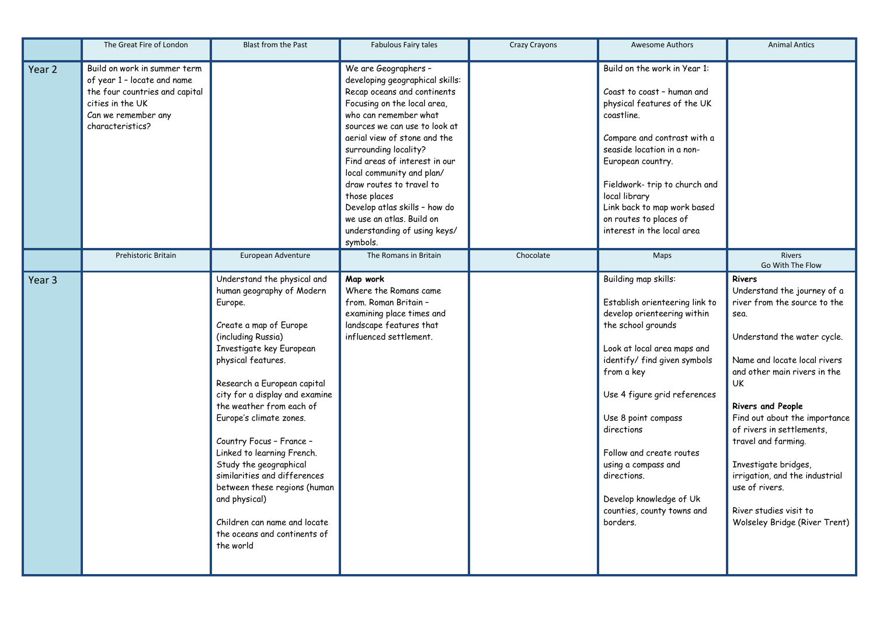|        | The Great Fire of London                                                                                                                                     | Blast from the Past                                                                                                                                                                                                                                                                                                                                                                                                                                                                                                                             | Fabulous Fairy tales                                                                                                                                                                                                                                                                                                                                                                                                                                         | Crazy Crayons | Awesome Authors                                                                                                                                                                                                                                                                                                                                                                                      | <b>Animal Antics</b>                                                                                                                                                                                                                                                                                                                                                                                                                       |
|--------|--------------------------------------------------------------------------------------------------------------------------------------------------------------|-------------------------------------------------------------------------------------------------------------------------------------------------------------------------------------------------------------------------------------------------------------------------------------------------------------------------------------------------------------------------------------------------------------------------------------------------------------------------------------------------------------------------------------------------|--------------------------------------------------------------------------------------------------------------------------------------------------------------------------------------------------------------------------------------------------------------------------------------------------------------------------------------------------------------------------------------------------------------------------------------------------------------|---------------|------------------------------------------------------------------------------------------------------------------------------------------------------------------------------------------------------------------------------------------------------------------------------------------------------------------------------------------------------------------------------------------------------|--------------------------------------------------------------------------------------------------------------------------------------------------------------------------------------------------------------------------------------------------------------------------------------------------------------------------------------------------------------------------------------------------------------------------------------------|
| Year 2 | Build on work in summer term<br>of year 1 - locate and name<br>the four countries and capital<br>cities in the UK<br>Can we remember any<br>characteristics? |                                                                                                                                                                                                                                                                                                                                                                                                                                                                                                                                                 | We are Geographers -<br>developing geographical skills:<br>Recap oceans and continents<br>Focusing on the local area,<br>who can remember what<br>sources we can use to look at<br>aerial view of stone and the<br>surrounding locality?<br>Find areas of interest in our<br>local community and plan/<br>draw routes to travel to<br>those places<br>Develop atlas skills - how do<br>we use an atlas. Build on<br>understanding of using keys/<br>symbols. |               | Build on the work in Year 1:<br>Coast to coast - human and<br>physical features of the UK<br>coastline.<br>Compare and contrast with a<br>seaside location in a non-<br>European country.<br>Fieldwork- trip to church and<br>local library<br>Link back to map work based<br>on routes to places of<br>interest in the local area                                                                   |                                                                                                                                                                                                                                                                                                                                                                                                                                            |
|        | Prehistoric Britain                                                                                                                                          | European Adventure                                                                                                                                                                                                                                                                                                                                                                                                                                                                                                                              | The Romans in Britain                                                                                                                                                                                                                                                                                                                                                                                                                                        | Chocolate     | Maps                                                                                                                                                                                                                                                                                                                                                                                                 | <b>Rivers</b><br>Go With The Flow                                                                                                                                                                                                                                                                                                                                                                                                          |
| Year 3 |                                                                                                                                                              | Understand the physical and<br>human geography of Modern<br>Europe.<br>Create a map of Europe<br>(including Russia)<br>Investigate key European<br>physical features.<br>Research a European capital<br>city for a display and examine<br>the weather from each of<br>Europe's climate zones.<br>Country Focus - France -<br>Linked to learning French.<br>Study the geographical<br>similarities and differences<br>between these regions (human<br>and physical)<br>Children can name and locate<br>the oceans and continents of<br>the world | Map work<br>Where the Romans came<br>from. Roman Britain -<br>examining place times and<br>landscape features that<br>influenced settlement.                                                                                                                                                                                                                                                                                                                 |               | Building map skills:<br>Establish orienteering link to<br>develop orienteering within<br>the school grounds<br>Look at local area maps and<br>identify/ find given symbols<br>from a key<br>Use 4 figure grid references<br>Use 8 point compass<br>directions<br>Follow and create routes<br>using a compass and<br>directions.<br>Develop knowledge of Uk<br>counties, county towns and<br>borders. | Rivers<br>Understand the journey of a<br>river from the source to the<br>sea.<br>Understand the water cycle.<br>Name and locate local rivers<br>and other main rivers in the<br><b>UK</b><br>Rivers and People<br>Find out about the importance<br>of rivers in settlements,<br>travel and farming.<br>Investigate bridges,<br>irrigation, and the industrial<br>use of rivers.<br>River studies visit to<br>Wolseley Bridge (River Trent) |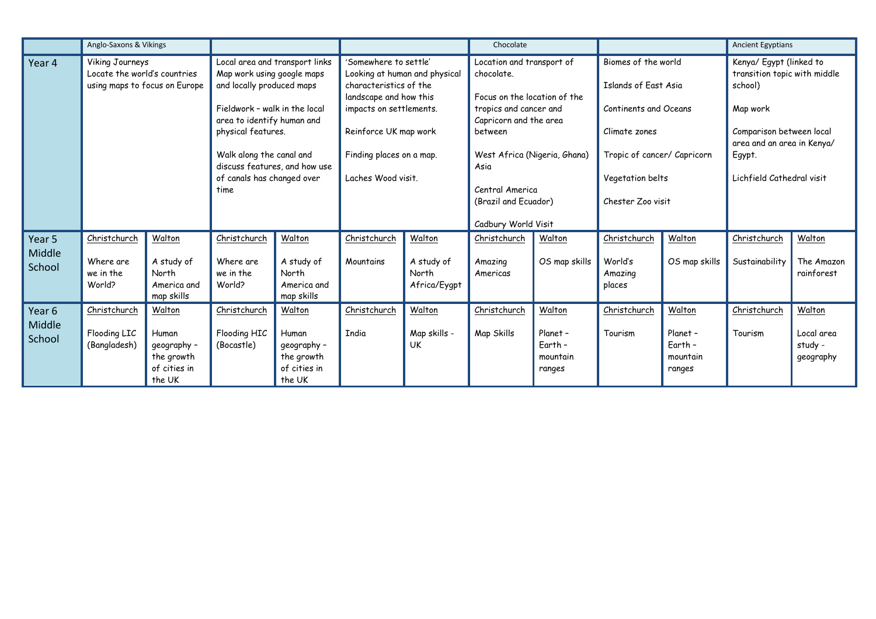|                            | Anglo-Saxons & Vikings                                                           |                                                                        |                                                                                                                                                                                                                                                                                   |                                                                        |                                                                                                                                                                                                                  |                                               | Chocolate                                                                                                                                                                                                                                        |                                                     |                                                                                                                                                               |                                                     | <b>Ancient Egyptians</b>                                                                                                                                                        |                                              |
|----------------------------|----------------------------------------------------------------------------------|------------------------------------------------------------------------|-----------------------------------------------------------------------------------------------------------------------------------------------------------------------------------------------------------------------------------------------------------------------------------|------------------------------------------------------------------------|------------------------------------------------------------------------------------------------------------------------------------------------------------------------------------------------------------------|-----------------------------------------------|--------------------------------------------------------------------------------------------------------------------------------------------------------------------------------------------------------------------------------------------------|-----------------------------------------------------|---------------------------------------------------------------------------------------------------------------------------------------------------------------|-----------------------------------------------------|---------------------------------------------------------------------------------------------------------------------------------------------------------------------------------|----------------------------------------------|
| Year 4                     | Viking Journeys<br>Locate the world's countries<br>using maps to focus on Europe |                                                                        | Local area and transport links<br>Map work using google maps<br>and locally produced maps<br>Fieldwork - walk in the local<br>area to identify human and<br>physical features.<br>Walk along the canal and<br>discuss features, and how use<br>of canals has changed over<br>time |                                                                        | 'Somewhere to settle'<br>Looking at human and physical<br>characteristics of the<br>landscape and how this<br>impacts on settlements.<br>Reinforce UK map work<br>Finding places on a map.<br>Laches Wood visit. |                                               | Location and transport of<br>chocolate.<br>Focus on the location of the<br>tropics and cancer and<br>Capricorn and the area<br>between<br>West Africa (Nigeria, Ghana)<br>Asia<br>Central America<br>(Brazil and Ecuador)<br>Cadbury World Visit |                                                     | Biomes of the world<br>Islands of East Asia<br>Continents and Oceans<br>Climate zones<br>Tropic of cancer/ Capricorn<br>Vegetation belts<br>Chester Zoo visit |                                                     | Kenya/ Egypt (linked to<br>transition topic with middle<br>school)<br>Map work<br>Comparison between local<br>area and an area in Kenya/<br>Egypt.<br>Lichfield Cathedral visit |                                              |
| Year 5<br>Middle<br>School | Christchurch<br>Where are<br>we in the<br>World?                                 | Walton<br>A study of<br>North<br>America and<br>map skills             | Christchurch<br>Where are<br>we in the<br>World?                                                                                                                                                                                                                                  | Walton<br>A study of<br>North<br>America and<br>map skills             | Christchurch<br>Mountains                                                                                                                                                                                        | Walton<br>A study of<br>North<br>Africa/Eygpt | Christchurch<br>Amazina<br>Americas                                                                                                                                                                                                              | Walton<br>OS map skills                             | Christchurch<br>World's<br>Amazing<br>places                                                                                                                  | Walton<br>OS map skills                             | Christchurch<br>Sustainability                                                                                                                                                  | Walton<br>The Amazon<br>rainforest           |
| Year 6<br>Middle<br>School | Christchurch<br>Flooding LIC<br>(Bangladesh)                                     | Walton<br>Human<br>geography -<br>the growth<br>of cities in<br>the UK | Christchurch<br>Flooding HIC<br>(Bocastle)                                                                                                                                                                                                                                        | Walton<br>Human<br>geography -<br>the growth<br>of cities in<br>the UK | Christchurch<br><b>India</b>                                                                                                                                                                                     | Walton<br>Map skills -<br>UK                  | Christchurch<br>Map Skills                                                                                                                                                                                                                       | Walton<br>Planet -<br>Earth -<br>mountain<br>ranges | Christchurch<br>Tourism                                                                                                                                       | Walton<br>Planet -<br>Earth -<br>mountain<br>ranges | Christchurch<br>Tourism                                                                                                                                                         | Walton<br>Local area<br>study -<br>geography |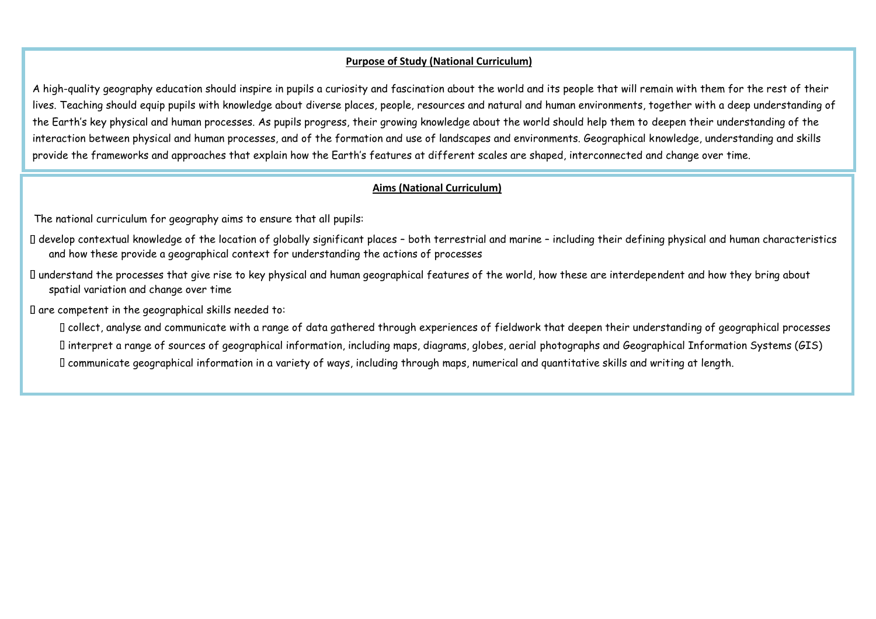#### **Purpose of Study (National Curriculum)**

A high-quality geography education should inspire in pupils a curiosity and fascination about the world and its people that will remain with them for the rest of their lives. Teaching should equip pupils with knowledge about diverse places, people, resources and natural and human environments, together with a deep understanding of the Earth's key physical and human processes. As pupils progress, their growing knowledge about the world should help them to deepen their understanding of the interaction between physical and human processes, and of the formation and use of landscapes and environments. Geographical knowledge, understanding and skills provide the frameworks and approaches that explain how the Earth's features at different scales are shaped, interconnected and change over time.

### **Aims (National Curriculum)**

The national curriculum for geography aims to ensure that all pupils:

- develop contextual knowledge of the location of globally significant places both terrestrial and marine including their defining physical and human characteristics and how these provide a geographical context for understanding the actions of processes
- understand the processes that give rise to key physical and human geographical features of the world, how these are interdependent and how they bring about spatial variation and change over time

 $\Box$  are competent in the geographical skills needed to:

collect, analyse and communicate with a range of data gathered through experiences of fieldwork that deepen their understanding of geographical processes interpret a range of sources of geographical information, including maps, diagrams, globes, aerial photographs and Geographical Information Systems (GIS) communicate geographical information in a variety of ways, including through maps, numerical and quantitative skills and writing at length.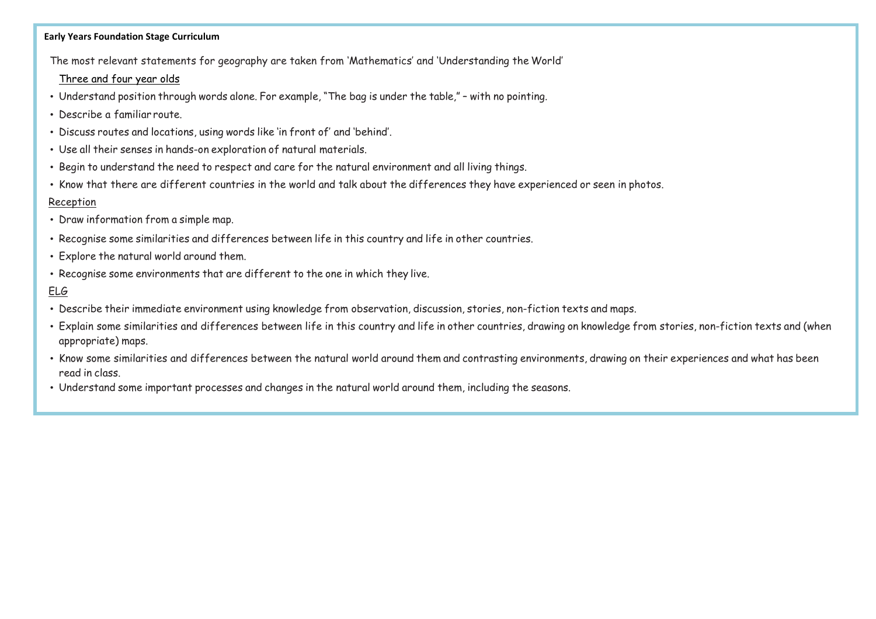#### **Early Years Foundation Stage Curriculum**

The most relevant statements for geography are taken from 'Mathematics' and 'Understanding the World'

### Three and four year olds

- Understand position through words alone. For example, "The bag is under the table," with no pointing.
- Describe a familiar route.
- Discuss routes and locations, using words like 'in front of' and 'behind'.
- Use all their senses in hands-on exploration of natural materials.
- Begin to understand the need to respect and care for the natural environment and all living things.
- Know that there are different countries in the world and talk about the differences they have experienced or seen in photos.

# Reception

- Draw information from a simple map.
- Recognise some similarities and differences between life in this country and life in other countries.
- Explore the natural world around them.
- Recognise some environments that are different to the one in which they live.

# ELG

- Describe their immediate environment using knowledge from observation, discussion, stories, non-fiction texts and maps.
- Explain some similarities and differences between life in this country and life in other countries, drawing on knowledge from stories, non-fiction texts and (when appropriate) maps.
- Know some similarities and differences between the natural world around them and contrasting environments, drawing on their experiences and what has been read in class.
- Understand some important processes and changes in the natural world around them, including the seasons.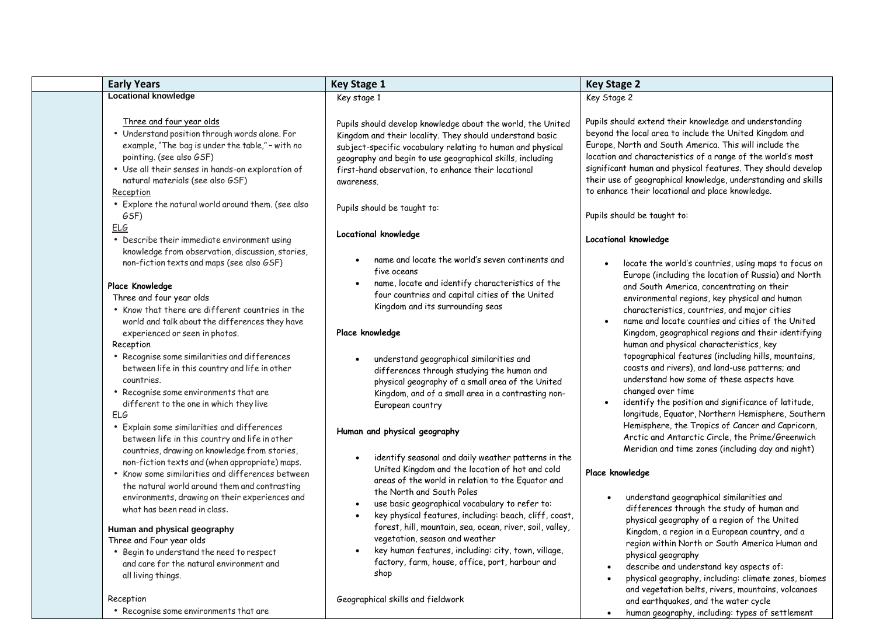| <b>Early Years</b>                                                                                                                                                                                                                                                                                                                                                                                                                                                                                                                                                                                              | <b>Key Stage 1</b>                                                                                                                                                                                                                                                                                                                                                                                                                                                                                                   | <b>Key Stage 2</b>                                                                                                                                                                                                                                                                                                                                                                                                                                                                                                                                                                                                                                                                                                                                                                                              |
|-----------------------------------------------------------------------------------------------------------------------------------------------------------------------------------------------------------------------------------------------------------------------------------------------------------------------------------------------------------------------------------------------------------------------------------------------------------------------------------------------------------------------------------------------------------------------------------------------------------------|----------------------------------------------------------------------------------------------------------------------------------------------------------------------------------------------------------------------------------------------------------------------------------------------------------------------------------------------------------------------------------------------------------------------------------------------------------------------------------------------------------------------|-----------------------------------------------------------------------------------------------------------------------------------------------------------------------------------------------------------------------------------------------------------------------------------------------------------------------------------------------------------------------------------------------------------------------------------------------------------------------------------------------------------------------------------------------------------------------------------------------------------------------------------------------------------------------------------------------------------------------------------------------------------------------------------------------------------------|
| <b>Locational knowledge</b>                                                                                                                                                                                                                                                                                                                                                                                                                                                                                                                                                                                     | Key stage 1                                                                                                                                                                                                                                                                                                                                                                                                                                                                                                          | Key Stage 2                                                                                                                                                                                                                                                                                                                                                                                                                                                                                                                                                                                                                                                                                                                                                                                                     |
| Three and four year olds<br>· Understand position through words alone. For<br>example, "The bag is under the table," - with no<br>pointing. (see also GSF)<br>• Use all their senses in hands-on exploration of<br>natural materials (see also GSF)<br>Reception                                                                                                                                                                                                                                                                                                                                                | Pupils should develop knowledge about the world, the United<br>Kingdom and their locality. They should understand basic<br>subject-specific vocabulary relating to human and physical<br>geography and begin to use geographical skills, including<br>first-hand observation, to enhance their locational<br>awareness.                                                                                                                                                                                              | Pupils should extend their knowledge and understanding<br>beyond the local area to include the United Kingdom and<br>Europe, North and South America. This will include the<br>location and characteristics of a range of the world's most<br>significant human and physical features. They should develop<br>their use of geographical knowledge, understanding and skills<br>to enhance their locational and place knowledge.                                                                                                                                                                                                                                                                                                                                                                                 |
| • Explore the natural world around them. (see also<br>GSF)                                                                                                                                                                                                                                                                                                                                                                                                                                                                                                                                                      | Pupils should be taught to:                                                                                                                                                                                                                                                                                                                                                                                                                                                                                          | Pupils should be taught to:                                                                                                                                                                                                                                                                                                                                                                                                                                                                                                                                                                                                                                                                                                                                                                                     |
| ELG<br>• Describe their immediate environment using                                                                                                                                                                                                                                                                                                                                                                                                                                                                                                                                                             | Locational knowledge                                                                                                                                                                                                                                                                                                                                                                                                                                                                                                 | Locational knowledge                                                                                                                                                                                                                                                                                                                                                                                                                                                                                                                                                                                                                                                                                                                                                                                            |
| knowledge from observation, discussion, stories,<br>non-fiction texts and maps (see also GSF)<br>Place Knowledge<br>Three and four year olds<br>• Know that there are different countries in the<br>world and talk about the differences they have<br>experienced or seen in photos.<br>Reception<br>• Recognise some similarities and differences<br>between life in this country and life in other<br>countries.<br>• Recognise some environments that are<br>different to the one in which they live<br>ELG<br>• Explain some similarities and differences<br>between life in this country and life in other | name and locate the world's seven continents and<br>five oceans<br>name, locate and identify characteristics of the<br>$\bullet$<br>four countries and capital cities of the United<br>Kingdom and its surrounding seas<br>Place knowledge<br>understand geographical similarities and<br>differences through studying the human and<br>physical geography of a small area of the United<br>Kingdom, and of a small area in a contrasting non-<br>European country<br>Human and physical geography                   | locate the world's countries, using maps to focus on<br>Europe (including the location of Russia) and North<br>and South America, concentrating on their<br>environmental regions, key physical and human<br>characteristics, countries, and major cities<br>name and locate counties and cities of the United<br>Kingdom, geographical regions and their identifying<br>human and physical characteristics, key<br>topographical features (including hills, mountains,<br>coasts and rivers), and land-use patterns; and<br>understand how some of these aspects have<br>changed over time<br>identify the position and significance of latitude,<br>longitude, Equator, Northern Hemisphere, Southern<br>Hemisphere, the Tropics of Cancer and Capricorn,<br>Arctic and Antarctic Circle, the Prime/Greenwich |
| countries, drawing on knowledge from stories,<br>non-fiction texts and (when appropriate) maps.<br>• Know some similarities and differences between<br>the natural world around them and contrasting<br>environments, drawing on their experiences and<br>what has been read in class.<br>Human and physical geography<br>Three and Four year olds<br>• Begin to understand the need to respect<br>and care for the natural environment and<br>all living things.                                                                                                                                               | identify seasonal and daily weather patterns in the<br>United Kingdom and the location of hot and cold<br>areas of the world in relation to the Equator and<br>the North and South Poles<br>use basic geographical vocabulary to refer to:<br>key physical features, including: beach, cliff, coast,<br>forest, hill, mountain, sea, ocean, river, soil, valley,<br>vegetation, season and weather<br>key human features, including: city, town, village,<br>factory, farm, house, office, port, harbour and<br>shop | Meridian and time zones (including day and night)<br>Place knowledge<br>understand geographical similarities and<br>differences through the study of human and<br>physical geography of a region of the United<br>Kingdom, a region in a European country, and a<br>region within North or South America Human and<br>physical geography<br>describe and understand key aspects of:<br>physical geography, including: climate zones, biomes                                                                                                                                                                                                                                                                                                                                                                     |

### Geographical skills and fieldwork

and earthquakes, and the water cycle human geography, including: types of settlement

and vegetation belts, rivers, mountains, volcanoes

Reception

• Recognise some environments that are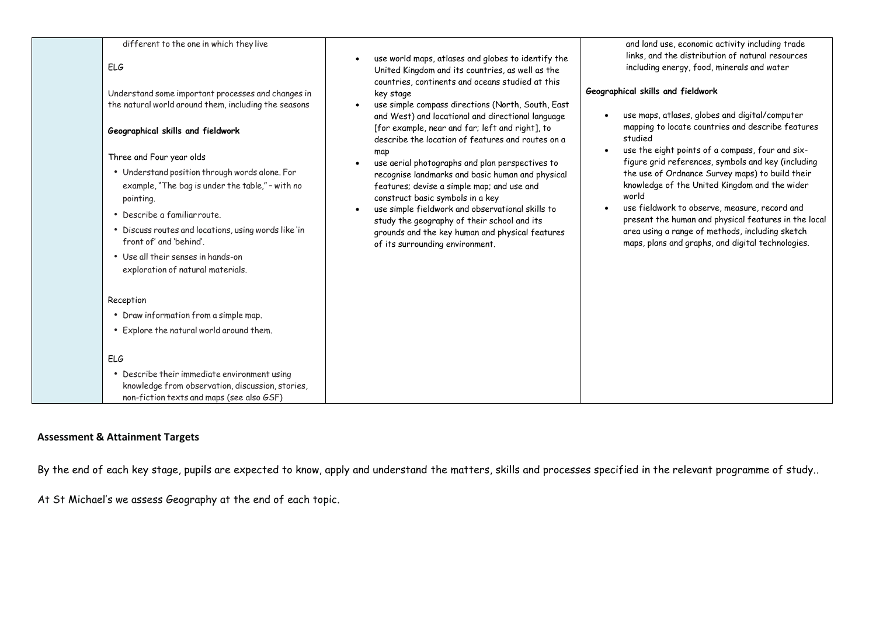| different to the one in which they live<br>ELG<br>Understand some important processes and changes in<br>the natural world around them, including the seasons<br>Geographical skills and fieldwork<br>Three and Four year olds<br>• Understand position through words alone. For<br>example, "The bag is under the table," - with no | use world maps, atlases and globes to identify the<br>United Kingdom and its countries, as well as the<br>countries, continents and oceans studied at this<br>key stage<br>use simple compass directions (North, South, East<br>and West) and locational and directional language<br>[for example, near and far; left and right], to<br>describe the location of features and routes on a<br>map<br>use aerial photographs and plan perspectives to<br>recognise landmarks and basic human and physical<br>features; devise a simple map; and use and<br>construct basic symbols in a key | and land use, economic activity including trade<br>links, and the distribution of natural resources<br>including energy, food, minerals and water<br>Geographical skills and fieldwork<br>use maps, atlases, globes and digital/computer<br>$\bullet$<br>mapping to locate countries and describe features<br>studied<br>use the eight points of a compass, four and six-<br>$\bullet$<br>figure grid references, symbols and key (including<br>the use of Ordnance Survey maps) to build their<br>knowledge of the United Kingdom and the wider<br>world |
|-------------------------------------------------------------------------------------------------------------------------------------------------------------------------------------------------------------------------------------------------------------------------------------------------------------------------------------|-------------------------------------------------------------------------------------------------------------------------------------------------------------------------------------------------------------------------------------------------------------------------------------------------------------------------------------------------------------------------------------------------------------------------------------------------------------------------------------------------------------------------------------------------------------------------------------------|-----------------------------------------------------------------------------------------------------------------------------------------------------------------------------------------------------------------------------------------------------------------------------------------------------------------------------------------------------------------------------------------------------------------------------------------------------------------------------------------------------------------------------------------------------------|
| pointing.<br>• Describe a familiar route.<br>• Discuss routes and locations, using words like 'in<br>front of' and 'behind'.<br>• Use all their senses in hands-on<br>exploration of natural materials.                                                                                                                             | use simple fieldwork and observational skills to<br>study the geography of their school and its<br>grounds and the key human and physical features<br>of its surrounding environment.                                                                                                                                                                                                                                                                                                                                                                                                     | use fieldwork to observe, measure, record and<br>$\bullet$<br>present the human and physical features in the local<br>area using a range of methods, including sketch<br>maps, plans and graphs, and digital technologies.                                                                                                                                                                                                                                                                                                                                |
| Reception                                                                                                                                                                                                                                                                                                                           |                                                                                                                                                                                                                                                                                                                                                                                                                                                                                                                                                                                           |                                                                                                                                                                                                                                                                                                                                                                                                                                                                                                                                                           |
| • Draw information from a simple map.                                                                                                                                                                                                                                                                                               |                                                                                                                                                                                                                                                                                                                                                                                                                                                                                                                                                                                           |                                                                                                                                                                                                                                                                                                                                                                                                                                                                                                                                                           |
| • Explore the natural world around them.                                                                                                                                                                                                                                                                                            |                                                                                                                                                                                                                                                                                                                                                                                                                                                                                                                                                                                           |                                                                                                                                                                                                                                                                                                                                                                                                                                                                                                                                                           |
| <b>ELG</b>                                                                                                                                                                                                                                                                                                                          |                                                                                                                                                                                                                                                                                                                                                                                                                                                                                                                                                                                           |                                                                                                                                                                                                                                                                                                                                                                                                                                                                                                                                                           |
| • Describe their immediate environment using<br>knowledge from observation, discussion, stories,<br>non-fiction texts and maps (see also GSF)                                                                                                                                                                                       |                                                                                                                                                                                                                                                                                                                                                                                                                                                                                                                                                                                           |                                                                                                                                                                                                                                                                                                                                                                                                                                                                                                                                                           |

# **Assessment & Attainment Targets**

By the end of each key stage, pupils are expected to know, apply and understand the matters, skills and processes specified in the relevant programme of study..

At St Michael's we assess Geography at the end of each topic.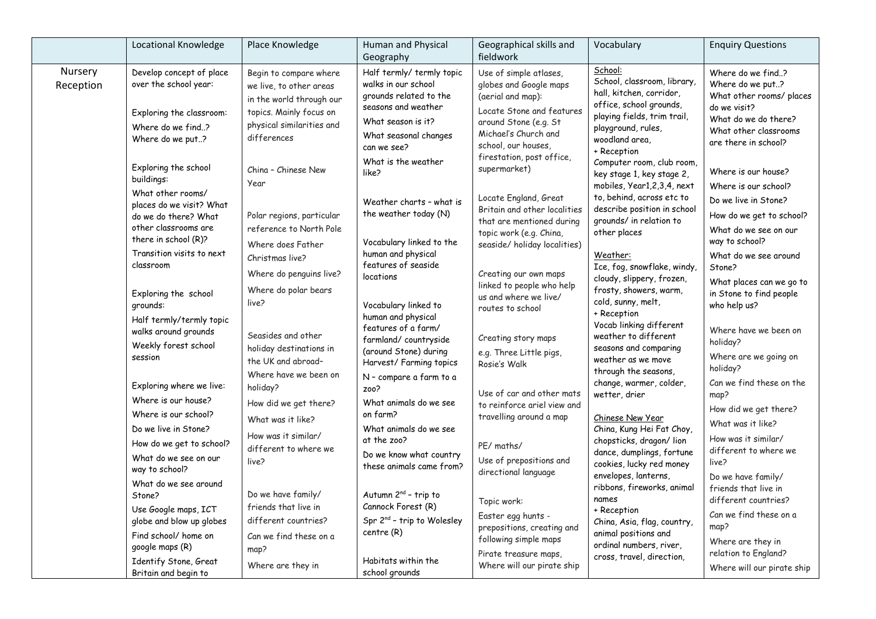|                      | Locational Knowledge                                                                                                                                                            | Place Knowledge                                                                                                                                      | Human and Physical                                                                                                                                              | Geographical skills and                                                                                                                                                                    | Vocabulary                                                                                                                                                                                  | <b>Enquiry Questions</b>                                                                                                                                                        |
|----------------------|---------------------------------------------------------------------------------------------------------------------------------------------------------------------------------|------------------------------------------------------------------------------------------------------------------------------------------------------|-----------------------------------------------------------------------------------------------------------------------------------------------------------------|--------------------------------------------------------------------------------------------------------------------------------------------------------------------------------------------|---------------------------------------------------------------------------------------------------------------------------------------------------------------------------------------------|---------------------------------------------------------------------------------------------------------------------------------------------------------------------------------|
|                      |                                                                                                                                                                                 |                                                                                                                                                      | Geography                                                                                                                                                       | fieldwork                                                                                                                                                                                  |                                                                                                                                                                                             |                                                                                                                                                                                 |
| Nursery<br>Reception | Develop concept of place<br>over the school year:<br>Exploring the classroom:<br>Where do we find?<br>Where do we put?                                                          | Begin to compare where<br>we live, to other areas<br>in the world through our<br>topics. Mainly focus on<br>physical similarities and<br>differences | Half termly/ termly topic<br>walks in our school<br>grounds related to the<br>seasons and weather<br>What season is it?<br>What seasonal changes<br>can we see? | Use of simple atlases,<br>globes and Google maps<br>(aerial and map):<br>Locate Stone and features<br>around Stone (e.g. St<br>Michael's Church and<br>school, our houses,                 | School:<br>School, classroom, library,<br>hall, kitchen, corridor,<br>office, school grounds,<br>playing fields, trim trail,<br>playground, rules,<br>woodland area,<br>+ Reception         | Where do we find?<br>Where do we put?<br>What other rooms/ places<br>do we visit?<br>What do we do there?<br>What other classrooms<br>are there in school?                      |
|                      | Exploring the school<br>buildings:<br>What other rooms/<br>places do we visit? What<br>do we do there? What<br>other classrooms are<br>there in school (R)?                     | China - Chinese New<br>Year<br>Polar regions, particular<br>reference to North Pole<br>Where does Father                                             | What is the weather<br>like?<br>Weather charts - what is<br>the weather today (N)<br>Vocabulary linked to the                                                   | firestation, post office,<br>supermarket)<br>Locate England, Great<br>Britain and other localities<br>that are mentioned during<br>topic work (e.g. China,<br>seaside/ holiday localities) | Computer room, club room,<br>key stage 1, key stage 2,<br>mobiles, Year1,2,3,4, next<br>to, behind, across etc to<br>describe position in school<br>grounds/ in relation to<br>other places | Where is our house?<br>Where is our school?<br>Do we live in Stone?<br>How do we get to school?<br>What do we see on our<br>way to school?                                      |
|                      | Transition visits to next<br>classroom                                                                                                                                          | Christmas live?<br>Where do penguins live?                                                                                                           | human and physical<br>features of seaside<br>locations                                                                                                          | Creating our own maps<br>linked to people who help                                                                                                                                         | Weather:<br>Ice, fog, snowflake, windy,<br>cloudy, slippery, frozen,                                                                                                                        | What do we see around<br>Stone?<br>What places can we go to                                                                                                                     |
|                      | Exploring the school<br>grounds:<br>Half termly/termly topic                                                                                                                    | Where do polar bears<br>live?                                                                                                                        | Vocabulary linked to<br>human and physical<br>features of a farm/<br>farmland/countryside<br>(around Stone) during<br>Harvest/ Farming topics                   | us and where we live/<br>routes to school                                                                                                                                                  | frosty, showers, warm,<br>cold, sunny, melt,<br>+ Reception<br>Vocab linking different<br>weather to different<br>seasons and comparing<br>weather as we move<br>through the seasons,       | in Stone to find people<br>who help us?                                                                                                                                         |
|                      | walks around grounds<br>Weekly forest school<br>session                                                                                                                         | Seasides and other<br>holiday destinations in<br>the UK and abroad-<br>Where have we been on                                                         |                                                                                                                                                                 | Creating story maps<br>e.g. Three Little pigs,<br>Rosie's Walk                                                                                                                             |                                                                                                                                                                                             | Where have we been on<br>holiday?<br>Where are we going on<br>holiday?                                                                                                          |
|                      | Exploring where we live:<br>Where is our house?                                                                                                                                 | holiday?<br>How did we get there?                                                                                                                    | N - compare a farm to a<br>Z00?<br>What animals do we see                                                                                                       | Use of car and other mats<br>to reinforce ariel view and                                                                                                                                   | change, warmer, colder,<br>wetter, drier                                                                                                                                                    | Can we find these on the<br>map?<br>How did we get there?                                                                                                                       |
|                      | Where is our school?<br>Do we live in Stone?<br>How do we get to school?<br>What do we see on our<br>way to school?                                                             | What was it like?<br>How was it similar/<br>different to where we<br>live?                                                                           | What animals do we see<br>at the zoo?<br>Do we know what country<br>these animals came from?                                                                    | on farm?<br>travelling around a map<br>PE/ maths/<br>Use of prepositions and                                                                                                               | Chinese New Year<br>China, Kung Hei Fat Choy,<br>chopsticks, dragon/ lion<br>dance, dumplings, fortune<br>cookies, lucky red money                                                          | What was it like?<br>How was it similar/<br>different to where we<br>live?                                                                                                      |
|                      | What do we see around<br>Stone?<br>Use Google maps, ICT<br>globe and blow up globes<br>Find school/ home on<br>google maps (R)<br>Identify Stone, Great<br>Britain and begin to | Do we have family/<br>friends that live in<br>different countries?<br>Can we find these on a<br>map?<br>Where are they in                            | Autumn 2 <sup>nd</sup> - trip to<br>Cannock Forest (R)<br>Spr 2 <sup>nd</sup> - trip to Wolesley<br>centre (R)<br>Habitats within the<br>school grounds         | directional language<br>Topic work:<br>Easter egg hunts -<br>prepositions, creating and<br>following simple maps<br>Pirate treasure maps,<br>Where will our pirate ship                    | envelopes, lanterns,<br>ribbons, fireworks, animal<br>names<br>+ Reception<br>China, Asia, flag, country,<br>animal positions and<br>ordinal numbers, river,<br>cross, travel, direction,   | Do we have family/<br>friends that live in<br>different countries?<br>Can we find these on a<br>map?<br>Where are they in<br>relation to England?<br>Where will our pirate ship |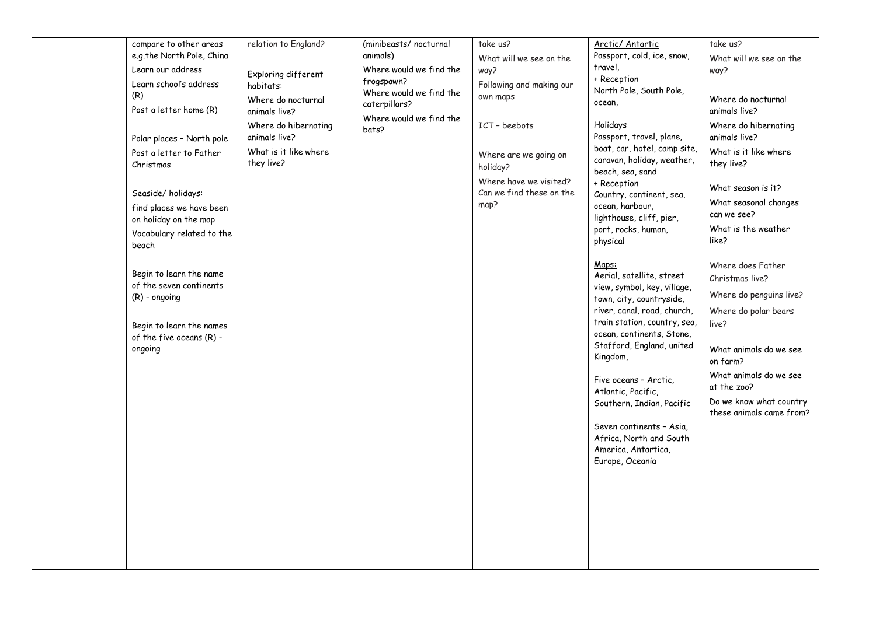| (R) | compare to other areas<br>e.g.the North Pole, China<br>Learn our address<br>Learn school's address<br>Post a letter home (R)<br>Polar places - North pole<br>Post a letter to Father<br>Christmas<br>Seaside/holidays:<br>find places we have been<br>on holiday on the map<br>Vocabulary related to the<br>beach<br>Begin to learn the name<br>of the seven continents<br>(R) - ongoing | relation to England?<br>Exploring different<br>habitats:<br>Where do nocturnal<br>animals live?<br>Where do hibernating<br>animals live?<br>What is it like where<br>they live? | (minibeasts/ nocturnal<br>animals)<br>Where would we find the<br>frogspawn?<br>Where would we find the<br>caterpillars?<br>Where would we find the<br>bats? | take us?<br>What will we see on the<br>way?<br>Following and making our<br>own maps<br>ICT - beebots<br>Where are we going on<br>holiday?<br>Where have we visited?<br>Can we find these on the<br>map? | Arctic/ Antartic<br>Passport, cold, ice, snow,<br>travel,<br>+ Reception<br>North Pole, South Pole,<br>ocean,<br>Holidays<br>Passport, travel, plane,<br>boat, car, hotel, camp site,<br>caravan, holiday, weather,<br>beach, sea, sand<br>+ Reception<br>Country, continent, sea,<br>ocean, harbour,<br>lighthouse, cliff, pier,<br>port, rocks, human,<br>physical<br>Maps:<br>Aerial, satellite, street<br>view, symbol, key, village,<br>town, city, countryside,<br>river, canal, road, church,<br>train station, country, sea, | take us?<br>What will we see on the<br>way?<br>Where do nocturnal<br>animals live?<br>Where do hibernating<br>animals live?<br>What is it like where<br>they live?<br>What season is it?<br>What seasonal changes<br>can we see?<br>What is the weather<br>like?<br>Where does Father<br>Christmas live?<br>Where do penguins live?<br>Where do polar bears<br>live? |
|-----|------------------------------------------------------------------------------------------------------------------------------------------------------------------------------------------------------------------------------------------------------------------------------------------------------------------------------------------------------------------------------------------|---------------------------------------------------------------------------------------------------------------------------------------------------------------------------------|-------------------------------------------------------------------------------------------------------------------------------------------------------------|---------------------------------------------------------------------------------------------------------------------------------------------------------------------------------------------------------|--------------------------------------------------------------------------------------------------------------------------------------------------------------------------------------------------------------------------------------------------------------------------------------------------------------------------------------------------------------------------------------------------------------------------------------------------------------------------------------------------------------------------------------|----------------------------------------------------------------------------------------------------------------------------------------------------------------------------------------------------------------------------------------------------------------------------------------------------------------------------------------------------------------------|
|     | Begin to learn the names<br>of the five oceans (R) -<br>ongoing                                                                                                                                                                                                                                                                                                                          |                                                                                                                                                                                 |                                                                                                                                                             |                                                                                                                                                                                                         | ocean, continents, Stone,<br>Stafford, England, united<br>Kingdom,<br>Five oceans - Arctic.<br>Atlantic, Pacific,<br>Southern, Indian, Pacific<br>Seven continents - Asia,<br>Africa, North and South<br>America, Antartica,<br>Europe, Oceania                                                                                                                                                                                                                                                                                      | What animals do we see<br>on farm?<br>What animals do we see<br>at the zoo?<br>Do we know what country<br>these animals came from?                                                                                                                                                                                                                                   |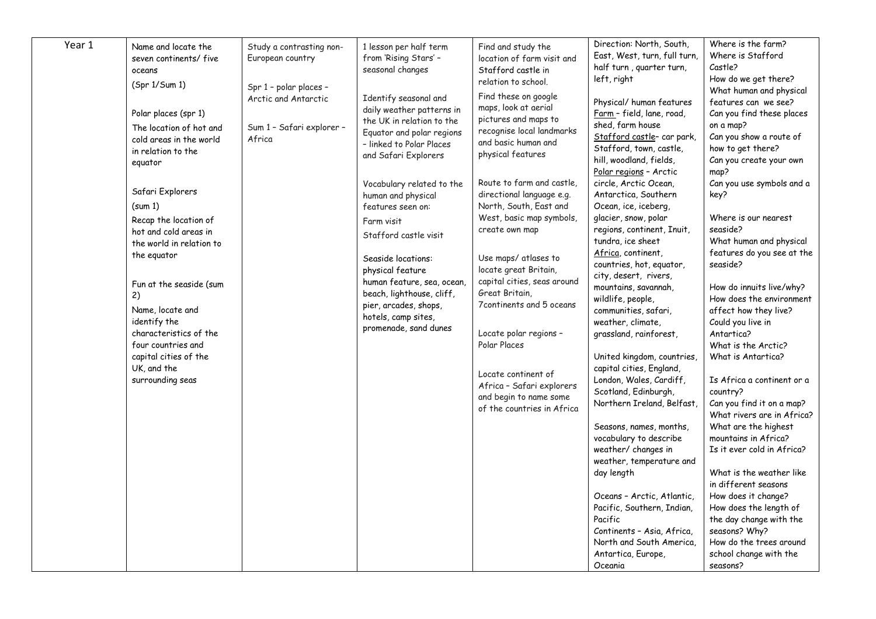| Where is the farm?<br>Direction: North, South,<br>Year 1<br>Name and locate the<br>1 lesson per half term<br>Find and study the<br>Study a contrasting non-<br>East, West, turn, full turn,<br>Where is Stafford<br>from 'Rising Stars' -<br>European country<br>location of farm visit and<br>seven continents/five<br>half turn, quarter turn,<br>Castle?<br>seasonal changes<br>Stafford castle in<br>oceans<br>How do we get there?<br>left, right<br>relation to school.<br>(Spr 1/Sum 1)<br>Spr 1 - polar places -<br>What human and physical<br>Find these on google<br>Identify seasonal and<br>Arctic and Antarctic<br>features can we see?<br>Physical/ human features<br>maps, look at aerial<br>daily weather patterns in<br>Farm - field, lane, road,<br>Polar places (spr 1)<br>Can you find these places<br>pictures and maps to<br>the UK in relation to the<br>shed, farm house<br>on a map?<br>Sum 1 - Safari explorer -<br>The location of hot and<br>recognise local landmarks<br>Equator and polar regions<br>Can you show a route of<br>Stafford castle- car park,<br>Africa<br>cold areas in the world<br>and basic human and<br>- linked to Polar Places<br>Stafford, town, castle,<br>how to get there?<br>in relation to the<br>physical features<br>and Safari Explorers<br>hill, woodland, fields,<br>Can you create your own<br>equator<br>Polar regions - Arctic<br>map?<br>Route to farm and castle.<br>circle, Arctic Ocean,<br>Can you use symbols and a<br>Vocabulary related to the |  |
|------------------------------------------------------------------------------------------------------------------------------------------------------------------------------------------------------------------------------------------------------------------------------------------------------------------------------------------------------------------------------------------------------------------------------------------------------------------------------------------------------------------------------------------------------------------------------------------------------------------------------------------------------------------------------------------------------------------------------------------------------------------------------------------------------------------------------------------------------------------------------------------------------------------------------------------------------------------------------------------------------------------------------------------------------------------------------------------------------------------------------------------------------------------------------------------------------------------------------------------------------------------------------------------------------------------------------------------------------------------------------------------------------------------------------------------------------------------------------------------------------------------------|--|
|                                                                                                                                                                                                                                                                                                                                                                                                                                                                                                                                                                                                                                                                                                                                                                                                                                                                                                                                                                                                                                                                                                                                                                                                                                                                                                                                                                                                                                                                                                                        |  |
|                                                                                                                                                                                                                                                                                                                                                                                                                                                                                                                                                                                                                                                                                                                                                                                                                                                                                                                                                                                                                                                                                                                                                                                                                                                                                                                                                                                                                                                                                                                        |  |
|                                                                                                                                                                                                                                                                                                                                                                                                                                                                                                                                                                                                                                                                                                                                                                                                                                                                                                                                                                                                                                                                                                                                                                                                                                                                                                                                                                                                                                                                                                                        |  |
|                                                                                                                                                                                                                                                                                                                                                                                                                                                                                                                                                                                                                                                                                                                                                                                                                                                                                                                                                                                                                                                                                                                                                                                                                                                                                                                                                                                                                                                                                                                        |  |
|                                                                                                                                                                                                                                                                                                                                                                                                                                                                                                                                                                                                                                                                                                                                                                                                                                                                                                                                                                                                                                                                                                                                                                                                                                                                                                                                                                                                                                                                                                                        |  |
|                                                                                                                                                                                                                                                                                                                                                                                                                                                                                                                                                                                                                                                                                                                                                                                                                                                                                                                                                                                                                                                                                                                                                                                                                                                                                                                                                                                                                                                                                                                        |  |
|                                                                                                                                                                                                                                                                                                                                                                                                                                                                                                                                                                                                                                                                                                                                                                                                                                                                                                                                                                                                                                                                                                                                                                                                                                                                                                                                                                                                                                                                                                                        |  |
|                                                                                                                                                                                                                                                                                                                                                                                                                                                                                                                                                                                                                                                                                                                                                                                                                                                                                                                                                                                                                                                                                                                                                                                                                                                                                                                                                                                                                                                                                                                        |  |
|                                                                                                                                                                                                                                                                                                                                                                                                                                                                                                                                                                                                                                                                                                                                                                                                                                                                                                                                                                                                                                                                                                                                                                                                                                                                                                                                                                                                                                                                                                                        |  |
|                                                                                                                                                                                                                                                                                                                                                                                                                                                                                                                                                                                                                                                                                                                                                                                                                                                                                                                                                                                                                                                                                                                                                                                                                                                                                                                                                                                                                                                                                                                        |  |
|                                                                                                                                                                                                                                                                                                                                                                                                                                                                                                                                                                                                                                                                                                                                                                                                                                                                                                                                                                                                                                                                                                                                                                                                                                                                                                                                                                                                                                                                                                                        |  |
|                                                                                                                                                                                                                                                                                                                                                                                                                                                                                                                                                                                                                                                                                                                                                                                                                                                                                                                                                                                                                                                                                                                                                                                                                                                                                                                                                                                                                                                                                                                        |  |
| Safari Explorers<br>directional language e.g.<br>Antarctica, Southern<br>human and physical<br>key?                                                                                                                                                                                                                                                                                                                                                                                                                                                                                                                                                                                                                                                                                                                                                                                                                                                                                                                                                                                                                                                                                                                                                                                                                                                                                                                                                                                                                    |  |
| (sum 1)<br>North, South, East and<br>Ocean, ice, iceberg,<br>features seen on:                                                                                                                                                                                                                                                                                                                                                                                                                                                                                                                                                                                                                                                                                                                                                                                                                                                                                                                                                                                                                                                                                                                                                                                                                                                                                                                                                                                                                                         |  |
| West, basic map symbols,<br>glacier, snow, polar<br>Where is our nearest<br>Recap the location of<br>Farm visit                                                                                                                                                                                                                                                                                                                                                                                                                                                                                                                                                                                                                                                                                                                                                                                                                                                                                                                                                                                                                                                                                                                                                                                                                                                                                                                                                                                                        |  |
| create own map<br>regions, continent, Inuit,<br>seaside?<br>hot and cold areas in<br>Stafford castle visit                                                                                                                                                                                                                                                                                                                                                                                                                                                                                                                                                                                                                                                                                                                                                                                                                                                                                                                                                                                                                                                                                                                                                                                                                                                                                                                                                                                                             |  |
| tundra, ice sheet<br>What human and physical<br>the world in relation to                                                                                                                                                                                                                                                                                                                                                                                                                                                                                                                                                                                                                                                                                                                                                                                                                                                                                                                                                                                                                                                                                                                                                                                                                                                                                                                                                                                                                                               |  |
| features do you see at the<br>Africa, continent,<br>the equator<br>Use maps/ atlases to<br>Seaside locations:                                                                                                                                                                                                                                                                                                                                                                                                                                                                                                                                                                                                                                                                                                                                                                                                                                                                                                                                                                                                                                                                                                                                                                                                                                                                                                                                                                                                          |  |
| countries, hot, equator,<br>seaside?<br>locate great Britain,<br>physical feature                                                                                                                                                                                                                                                                                                                                                                                                                                                                                                                                                                                                                                                                                                                                                                                                                                                                                                                                                                                                                                                                                                                                                                                                                                                                                                                                                                                                                                      |  |
| city, desert, rivers,<br>capital cities, seas around<br>human feature, sea, ocean,                                                                                                                                                                                                                                                                                                                                                                                                                                                                                                                                                                                                                                                                                                                                                                                                                                                                                                                                                                                                                                                                                                                                                                                                                                                                                                                                                                                                                                     |  |
| Fun at the seaside (sum<br>mountains, savannah,<br>How do innuits live/why?<br>Great Britain,<br>beach, lighthouse, cliff,                                                                                                                                                                                                                                                                                                                                                                                                                                                                                                                                                                                                                                                                                                                                                                                                                                                                                                                                                                                                                                                                                                                                                                                                                                                                                                                                                                                             |  |
| 2)<br>How does the environment<br>wildlife, people,<br>7 continents and 5 oceans<br>pier, arcades, shops,                                                                                                                                                                                                                                                                                                                                                                                                                                                                                                                                                                                                                                                                                                                                                                                                                                                                                                                                                                                                                                                                                                                                                                                                                                                                                                                                                                                                              |  |
| Name, locate and<br>communities, safari,<br>affect how they live?<br>hotels, camp sites,                                                                                                                                                                                                                                                                                                                                                                                                                                                                                                                                                                                                                                                                                                                                                                                                                                                                                                                                                                                                                                                                                                                                                                                                                                                                                                                                                                                                                               |  |
| identify the<br>weather, climate,<br>Could you live in<br>promenade, sand dunes                                                                                                                                                                                                                                                                                                                                                                                                                                                                                                                                                                                                                                                                                                                                                                                                                                                                                                                                                                                                                                                                                                                                                                                                                                                                                                                                                                                                                                        |  |
| characteristics of the<br>Locate polar regions -<br>grassland, rainforest,<br>Antartica?                                                                                                                                                                                                                                                                                                                                                                                                                                                                                                                                                                                                                                                                                                                                                                                                                                                                                                                                                                                                                                                                                                                                                                                                                                                                                                                                                                                                                               |  |
| four countries and<br>Polar Places<br>What is the Arctic?                                                                                                                                                                                                                                                                                                                                                                                                                                                                                                                                                                                                                                                                                                                                                                                                                                                                                                                                                                                                                                                                                                                                                                                                                                                                                                                                                                                                                                                              |  |
| capital cities of the<br>United kingdom, countries,<br>What is Antartica?                                                                                                                                                                                                                                                                                                                                                                                                                                                                                                                                                                                                                                                                                                                                                                                                                                                                                                                                                                                                                                                                                                                                                                                                                                                                                                                                                                                                                                              |  |
| UK, and the<br>capital cities, England,<br>Locate continent of                                                                                                                                                                                                                                                                                                                                                                                                                                                                                                                                                                                                                                                                                                                                                                                                                                                                                                                                                                                                                                                                                                                                                                                                                                                                                                                                                                                                                                                         |  |
| surrounding seas<br>London, Wales, Cardiff,<br>Is Africa a continent or a<br>Africa - Safari explorers                                                                                                                                                                                                                                                                                                                                                                                                                                                                                                                                                                                                                                                                                                                                                                                                                                                                                                                                                                                                                                                                                                                                                                                                                                                                                                                                                                                                                 |  |
| Scotland, Edinburgh,<br>country?<br>and begin to name some                                                                                                                                                                                                                                                                                                                                                                                                                                                                                                                                                                                                                                                                                                                                                                                                                                                                                                                                                                                                                                                                                                                                                                                                                                                                                                                                                                                                                                                             |  |
| Northern Ireland, Belfast,<br>Can you find it on a map?<br>of the countries in Africa                                                                                                                                                                                                                                                                                                                                                                                                                                                                                                                                                                                                                                                                                                                                                                                                                                                                                                                                                                                                                                                                                                                                                                                                                                                                                                                                                                                                                                  |  |
| What rivers are in Africa?                                                                                                                                                                                                                                                                                                                                                                                                                                                                                                                                                                                                                                                                                                                                                                                                                                                                                                                                                                                                                                                                                                                                                                                                                                                                                                                                                                                                                                                                                             |  |
| What are the highest<br>Seasons, names, months,                                                                                                                                                                                                                                                                                                                                                                                                                                                                                                                                                                                                                                                                                                                                                                                                                                                                                                                                                                                                                                                                                                                                                                                                                                                                                                                                                                                                                                                                        |  |
| vocabulary to describe<br>mountains in Africa?                                                                                                                                                                                                                                                                                                                                                                                                                                                                                                                                                                                                                                                                                                                                                                                                                                                                                                                                                                                                                                                                                                                                                                                                                                                                                                                                                                                                                                                                         |  |
| weather/changes in<br>Is it ever cold in Africa?<br>weather, temperature and                                                                                                                                                                                                                                                                                                                                                                                                                                                                                                                                                                                                                                                                                                                                                                                                                                                                                                                                                                                                                                                                                                                                                                                                                                                                                                                                                                                                                                           |  |
| day length<br>What is the weather like                                                                                                                                                                                                                                                                                                                                                                                                                                                                                                                                                                                                                                                                                                                                                                                                                                                                                                                                                                                                                                                                                                                                                                                                                                                                                                                                                                                                                                                                                 |  |
| in different seasons                                                                                                                                                                                                                                                                                                                                                                                                                                                                                                                                                                                                                                                                                                                                                                                                                                                                                                                                                                                                                                                                                                                                                                                                                                                                                                                                                                                                                                                                                                   |  |
| Oceans - Arctic, Atlantic,<br>How does it change?                                                                                                                                                                                                                                                                                                                                                                                                                                                                                                                                                                                                                                                                                                                                                                                                                                                                                                                                                                                                                                                                                                                                                                                                                                                                                                                                                                                                                                                                      |  |
| Pacific, Southern, Indian,<br>How does the length of                                                                                                                                                                                                                                                                                                                                                                                                                                                                                                                                                                                                                                                                                                                                                                                                                                                                                                                                                                                                                                                                                                                                                                                                                                                                                                                                                                                                                                                                   |  |
| Pacific<br>the day change with the                                                                                                                                                                                                                                                                                                                                                                                                                                                                                                                                                                                                                                                                                                                                                                                                                                                                                                                                                                                                                                                                                                                                                                                                                                                                                                                                                                                                                                                                                     |  |
| Continents - Asia, Africa,<br>seasons? Why?                                                                                                                                                                                                                                                                                                                                                                                                                                                                                                                                                                                                                                                                                                                                                                                                                                                                                                                                                                                                                                                                                                                                                                                                                                                                                                                                                                                                                                                                            |  |
| North and South America,<br>How do the trees around                                                                                                                                                                                                                                                                                                                                                                                                                                                                                                                                                                                                                                                                                                                                                                                                                                                                                                                                                                                                                                                                                                                                                                                                                                                                                                                                                                                                                                                                    |  |
| school change with the<br>Antartica, Europe,                                                                                                                                                                                                                                                                                                                                                                                                                                                                                                                                                                                                                                                                                                                                                                                                                                                                                                                                                                                                                                                                                                                                                                                                                                                                                                                                                                                                                                                                           |  |
| seasons?<br>Oceania                                                                                                                                                                                                                                                                                                                                                                                                                                                                                                                                                                                                                                                                                                                                                                                                                                                                                                                                                                                                                                                                                                                                                                                                                                                                                                                                                                                                                                                                                                    |  |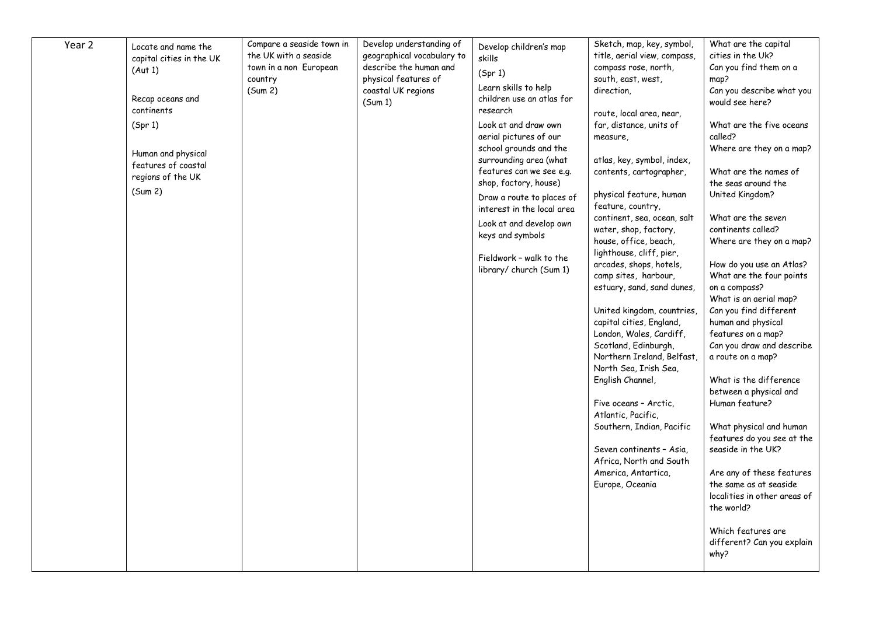| Year 2 | Locate and name the<br>capital cities in the UK<br>(Aut 1)<br>Recap oceans and<br>continents<br>(Spr 1)<br>Human and physical<br>features of coastal<br>regions of the UK<br>(Sum 2) | Compare a seaside town in<br>the UK with a seaside<br>town in a non European<br>country<br>(Sum 2) | Develop understanding of<br>geographical vocabulary to<br>describe the human and<br>physical features of<br>coastal UK regions<br>(Sum 1) | Develop children's map<br>skills<br>(Spr 1)<br>Learn skills to help<br>children use an atlas for<br>research<br>Look at and draw own<br>aerial pictures of our<br>school grounds and the<br>surrounding area (what<br>features can we see e.g.<br>shop, factory, house)<br>Draw a route to places of<br>interest in the local area<br>Look at and develop own<br>keys and symbols<br>Fieldwork - walk to the<br>library/ church (Sum 1) | Sketch, map, key, symbol,<br>title, aerial view, compass,<br>compass rose, north,<br>south, east, west,<br>direction,<br>route, local area, near,<br>far, distance, units of<br>measure,<br>atlas, key, symbol, index,<br>contents, cartographer,<br>physical feature, human<br>feature, country,<br>continent, sea, ocean, salt<br>water, shop, factory,<br>house, office, beach,<br>lighthouse, cliff, pier,<br>arcades, shops, hotels,<br>camp sites, harbour,<br>estuary, sand, sand dunes,<br>United kingdom, countries,<br>capital cities, England,<br>London, Wales, Cardiff,<br>Scotland, Edinburgh,<br>Northern Ireland, Belfast,<br>North Sea, Irish Sea,<br>English Channel,<br>Five oceans - Arctic.<br>Atlantic, Pacific,<br>Southern, Indian, Pacific<br>Seven continents - Asia.<br>Africa, North and South<br>America, Antartica,<br>Europe, Oceania | What are the capital<br>cities in the Uk?<br>Can you find them on a<br>map?<br>Can you describe what you<br>would see here?<br>What are the five oceans<br>called?<br>Where are they on a map?<br>What are the names of<br>the seas around the<br>United Kingdom?<br>What are the seven<br>continents called?<br>Where are they on a map?<br>How do you use an Atlas?<br>What are the four points<br>on a compass?<br>What is an aerial map?<br>Can you find different<br>human and physical<br>features on a map?<br>Can you draw and describe<br>a route on a map?<br>What is the difference<br>between a physical and<br>Human feature?<br>What physical and human<br>features do you see at the<br>seaside in the UK?<br>Are any of these features<br>the same as at seaside<br>localities in other areas of<br>the world?<br>Which features are<br>different? Can you explain<br>why? |
|--------|--------------------------------------------------------------------------------------------------------------------------------------------------------------------------------------|----------------------------------------------------------------------------------------------------|-------------------------------------------------------------------------------------------------------------------------------------------|-----------------------------------------------------------------------------------------------------------------------------------------------------------------------------------------------------------------------------------------------------------------------------------------------------------------------------------------------------------------------------------------------------------------------------------------|----------------------------------------------------------------------------------------------------------------------------------------------------------------------------------------------------------------------------------------------------------------------------------------------------------------------------------------------------------------------------------------------------------------------------------------------------------------------------------------------------------------------------------------------------------------------------------------------------------------------------------------------------------------------------------------------------------------------------------------------------------------------------------------------------------------------------------------------------------------------|--------------------------------------------------------------------------------------------------------------------------------------------------------------------------------------------------------------------------------------------------------------------------------------------------------------------------------------------------------------------------------------------------------------------------------------------------------------------------------------------------------------------------------------------------------------------------------------------------------------------------------------------------------------------------------------------------------------------------------------------------------------------------------------------------------------------------------------------------------------------------------------------|
|--------|--------------------------------------------------------------------------------------------------------------------------------------------------------------------------------------|----------------------------------------------------------------------------------------------------|-------------------------------------------------------------------------------------------------------------------------------------------|-----------------------------------------------------------------------------------------------------------------------------------------------------------------------------------------------------------------------------------------------------------------------------------------------------------------------------------------------------------------------------------------------------------------------------------------|----------------------------------------------------------------------------------------------------------------------------------------------------------------------------------------------------------------------------------------------------------------------------------------------------------------------------------------------------------------------------------------------------------------------------------------------------------------------------------------------------------------------------------------------------------------------------------------------------------------------------------------------------------------------------------------------------------------------------------------------------------------------------------------------------------------------------------------------------------------------|--------------------------------------------------------------------------------------------------------------------------------------------------------------------------------------------------------------------------------------------------------------------------------------------------------------------------------------------------------------------------------------------------------------------------------------------------------------------------------------------------------------------------------------------------------------------------------------------------------------------------------------------------------------------------------------------------------------------------------------------------------------------------------------------------------------------------------------------------------------------------------------------|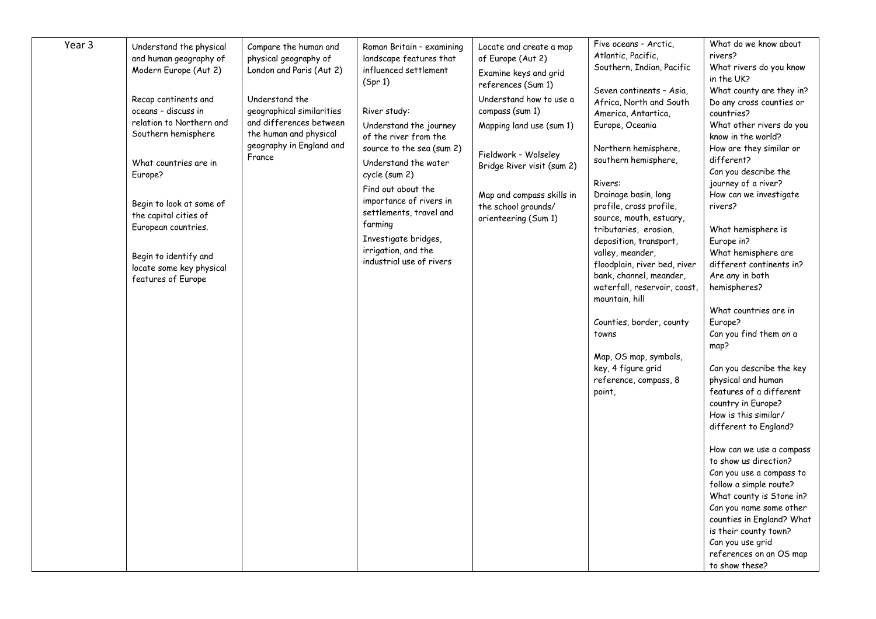| Year 3 | Understand the physical<br>and human geography of<br>Modern Europe (Aut 2)<br>Recap continents and<br>oceans - discuss in<br>relation to Northern and<br>Southern hemisphere<br>What countries are in<br>Europe?<br>Begin to look at some of<br>the capital cities of<br>European countries.<br>Begin to identify and<br>locate some key physical<br>features of Europe | Compare the human and<br>physical geography of<br>London and Paris (Aut 2)<br>Understand the<br>geographical similarities<br>and differences between<br>the human and physical<br>geography in England and<br>France | Roman Britain - examining<br>landscape features that<br>influenced settlement<br>(Spr 1)<br>River study:<br>Understand the journey<br>of the river from the<br>source to the sea (sum 2)<br>Understand the water<br>cycle (sum 2)<br>Find out about the<br>importance of rivers in<br>settlements, travel and<br>farming<br>Investigate bridges,<br>irrigation, and the<br>industrial use of rivers | Locate and create a map<br>of Europe (Aut 2)<br>Examine keys and grid<br>references (Sum 1)<br>Understand how to use a<br>compass (sum 1)<br>Mapping land use (sum 1)<br>Fieldwork - Wolseley<br>Bridge River visit (sum 2)<br>Map and compass skills in<br>the school grounds/<br>orienteering (Sum 1) | Five oceans - Arctic.<br>Atlantic, Pacific,<br>Southern, Indian, Pacific<br>Seven continents - Asia,<br>Africa, North and South<br>America, Antartica,<br>Europe, Oceania<br>Northern hemisphere,<br>southern hemisphere,<br>Rivers:<br>Drainage basin, long<br>profile, cross profile,<br>source, mouth, estuary,<br>tributaries, erosion,<br>deposition, transport,<br>valley, meander,<br>floodplain, river bed, river<br>bank, channel, meander,<br>waterfall, reservoir, coast,<br>mountain, hill<br>Counties, border, county<br>towns<br>Map, OS map, symbols,<br>key, 4 figure grid<br>reference, compass, 8<br>point, | What do we know about<br>rivers?<br>What rivers do you know<br>in the UK?<br>What county are they in?<br>Do any cross counties or<br>countries?<br>What other rivers do you<br>know in the world?<br>How are they similar or<br>different?<br>Can you describe the<br>journey of a river?<br>How can we investigate<br>rivers?<br>What hemisphere is<br>Europe in?<br>What hemisphere are<br>different continents in?<br>Are any in both<br>hemispheres?<br>What countries are in<br>Europe?<br>Can you find them on a<br>map?<br>Can you describe the key<br>physical and human<br>features of a different<br>country in Europe?<br>How is this similar/<br>different to England?<br>How can we use a compass<br>to show us direction?<br>Can you use a compass to<br>follow a simple route?<br>What county is Stone in?<br>Can you name some other<br>counties in England? What |
|--------|-------------------------------------------------------------------------------------------------------------------------------------------------------------------------------------------------------------------------------------------------------------------------------------------------------------------------------------------------------------------------|----------------------------------------------------------------------------------------------------------------------------------------------------------------------------------------------------------------------|-----------------------------------------------------------------------------------------------------------------------------------------------------------------------------------------------------------------------------------------------------------------------------------------------------------------------------------------------------------------------------------------------------|---------------------------------------------------------------------------------------------------------------------------------------------------------------------------------------------------------------------------------------------------------------------------------------------------------|-------------------------------------------------------------------------------------------------------------------------------------------------------------------------------------------------------------------------------------------------------------------------------------------------------------------------------------------------------------------------------------------------------------------------------------------------------------------------------------------------------------------------------------------------------------------------------------------------------------------------------|-----------------------------------------------------------------------------------------------------------------------------------------------------------------------------------------------------------------------------------------------------------------------------------------------------------------------------------------------------------------------------------------------------------------------------------------------------------------------------------------------------------------------------------------------------------------------------------------------------------------------------------------------------------------------------------------------------------------------------------------------------------------------------------------------------------------------------------------------------------------------------------|
|        |                                                                                                                                                                                                                                                                                                                                                                         |                                                                                                                                                                                                                      |                                                                                                                                                                                                                                                                                                                                                                                                     |                                                                                                                                                                                                                                                                                                         |                                                                                                                                                                                                                                                                                                                                                                                                                                                                                                                                                                                                                               | is their county town?<br>Can you use grid<br>references on an OS map<br>to show these?                                                                                                                                                                                                                                                                                                                                                                                                                                                                                                                                                                                                                                                                                                                                                                                            |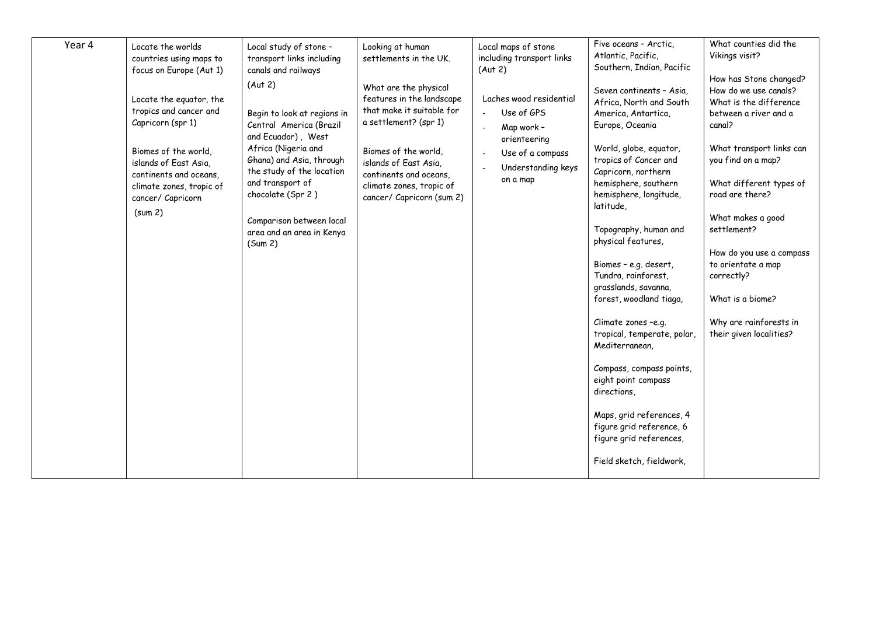| Year 4 | Locate the worlds<br>countries using maps to<br>focus on Europe (Aut 1)<br>Locate the equator, the<br>tropics and cancer and<br>Capricorn (spr 1)<br>Biomes of the world,<br>islands of East Asia,<br>continents and oceans.<br>climate zones, tropic of<br>cancer/ Capricorn<br>(sum 2) | Local study of stone -<br>transport links including<br>canals and railways<br>(Aut 2)<br>Begin to look at regions in<br>Central America (Brazil<br>and Ecuador), West<br>Africa (Nigeria and<br>Ghana) and Asia, through<br>the study of the location<br>and transport of<br>chocolate (Spr 2)<br>Comparison between local<br>area and an area in Kenya<br>(Sum 2) | Looking at human<br>settlements in the UK.<br>What are the physical<br>features in the landscape<br>that make it suitable for<br>a settlement? (spr 1)<br>Biomes of the world,<br>islands of East Asia,<br>continents and oceans.<br>climate zones, tropic of<br>cancer/ Capricorn (sum 2) | Local maps of stone<br>including transport links<br>(Aut 2)<br>Laches wood residential<br>Use of GPS<br>$\sim$<br>Map work -<br>$\sim$<br>orienteering<br>Use of a compass<br>Understanding keys<br>on a map | Five oceans - Arctic,<br>Atlantic, Pacific,<br>Southern, Indian, Pacific<br>Seven continents - Asia,<br>Africa, North and South<br>America, Antartica,<br>Europe, Oceania<br>World, globe, equator,<br>tropics of Cancer and<br>Capricorn, northern<br>hemisphere, southern<br>hemisphere, longitude,<br>latitude,<br>Topography, human and<br>physical features,<br>Biomes - e.g. desert,<br>Tundra, rainforest,<br>grasslands, savanna,<br>forest, woodland tiaga,<br>Climate zones-e.g.<br>tropical, temperate, polar, | What counties did the<br>Vikings visit?<br>How has Stone changed?<br>How do we use canals?<br>What is the difference<br>between a river and a<br>canal?<br>What transport links can<br>you find on a map?<br>What different types of<br>road are there?<br>What makes a good<br>settlement?<br>How do you use a compass<br>to orientate a map<br>correctly?<br>What is a biome?<br>Why are rainforests in<br>their given localities? |
|--------|------------------------------------------------------------------------------------------------------------------------------------------------------------------------------------------------------------------------------------------------------------------------------------------|--------------------------------------------------------------------------------------------------------------------------------------------------------------------------------------------------------------------------------------------------------------------------------------------------------------------------------------------------------------------|--------------------------------------------------------------------------------------------------------------------------------------------------------------------------------------------------------------------------------------------------------------------------------------------|--------------------------------------------------------------------------------------------------------------------------------------------------------------------------------------------------------------|---------------------------------------------------------------------------------------------------------------------------------------------------------------------------------------------------------------------------------------------------------------------------------------------------------------------------------------------------------------------------------------------------------------------------------------------------------------------------------------------------------------------------|--------------------------------------------------------------------------------------------------------------------------------------------------------------------------------------------------------------------------------------------------------------------------------------------------------------------------------------------------------------------------------------------------------------------------------------|
|        |                                                                                                                                                                                                                                                                                          |                                                                                                                                                                                                                                                                                                                                                                    |                                                                                                                                                                                                                                                                                            |                                                                                                                                                                                                              | Mediterranean,<br>Compass, compass points,<br>eight point compass<br>directions,<br>Maps, grid references, 4<br>figure grid reference, 6<br>figure grid references,<br>Field sketch, fieldwork,                                                                                                                                                                                                                                                                                                                           |                                                                                                                                                                                                                                                                                                                                                                                                                                      |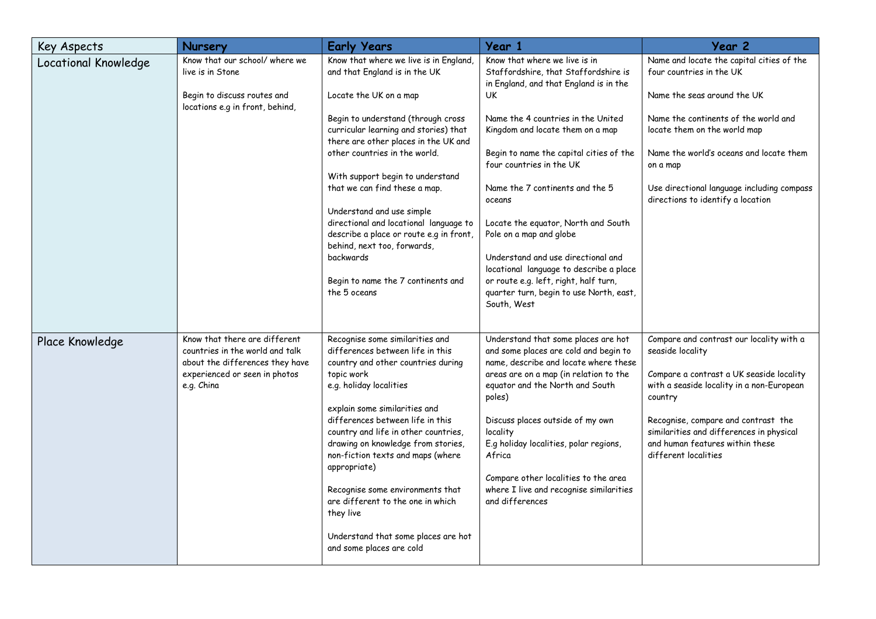| Key Aspects                 | Nursery                                                                                                                                            | <b>Early Years</b>                                                                                                                                                                                                                                                                                                                                                                                                                                                                                                  | Year 1                                                                                                                                                                                                                                                                                                                                                                                                                 | Year 2                                                                                                                                                                                                                                                                                                         |
|-----------------------------|----------------------------------------------------------------------------------------------------------------------------------------------------|---------------------------------------------------------------------------------------------------------------------------------------------------------------------------------------------------------------------------------------------------------------------------------------------------------------------------------------------------------------------------------------------------------------------------------------------------------------------------------------------------------------------|------------------------------------------------------------------------------------------------------------------------------------------------------------------------------------------------------------------------------------------------------------------------------------------------------------------------------------------------------------------------------------------------------------------------|----------------------------------------------------------------------------------------------------------------------------------------------------------------------------------------------------------------------------------------------------------------------------------------------------------------|
| <b>Locational Knowledge</b> | Know that our school/ where we<br>live is in Stone                                                                                                 | Know that where we live is in England,<br>and that England is in the UK                                                                                                                                                                                                                                                                                                                                                                                                                                             | Know that where we live is in<br>Staffordshire, that Staffordshire is<br>in England, and that England is in the                                                                                                                                                                                                                                                                                                        | Name and locate the capital cities of the<br>four countries in the UK                                                                                                                                                                                                                                          |
|                             | Begin to discuss routes and<br>locations e.g in front, behind,                                                                                     | Locate the UK on a map                                                                                                                                                                                                                                                                                                                                                                                                                                                                                              | <b>UK</b>                                                                                                                                                                                                                                                                                                                                                                                                              | Name the seas around the UK                                                                                                                                                                                                                                                                                    |
|                             |                                                                                                                                                    | Begin to understand (through cross<br>curricular learning and stories) that<br>there are other places in the UK and                                                                                                                                                                                                                                                                                                                                                                                                 | Name the 4 countries in the United<br>Kingdom and locate them on a map                                                                                                                                                                                                                                                                                                                                                 | Name the continents of the world and<br>locate them on the world map                                                                                                                                                                                                                                           |
|                             |                                                                                                                                                    | other countries in the world.                                                                                                                                                                                                                                                                                                                                                                                                                                                                                       | Begin to name the capital cities of the<br>four countries in the UK                                                                                                                                                                                                                                                                                                                                                    | Name the world's oceans and locate them<br>on a map                                                                                                                                                                                                                                                            |
|                             |                                                                                                                                                    | With support begin to understand<br>that we can find these a map.                                                                                                                                                                                                                                                                                                                                                                                                                                                   | Name the 7 continents and the 5<br>oceans                                                                                                                                                                                                                                                                                                                                                                              | Use directional language including compass<br>directions to identify a location                                                                                                                                                                                                                                |
|                             |                                                                                                                                                    | Understand and use simple<br>directional and locational language to<br>describe a place or route e.g in front,<br>behind, next too, forwards,<br>backwards                                                                                                                                                                                                                                                                                                                                                          | Locate the equator, North and South<br>Pole on a map and globe<br>Understand and use directional and                                                                                                                                                                                                                                                                                                                   |                                                                                                                                                                                                                                                                                                                |
|                             |                                                                                                                                                    | Begin to name the 7 continents and<br>the 5 oceans                                                                                                                                                                                                                                                                                                                                                                                                                                                                  | locational language to describe a place<br>or route e.g. left, right, half turn,<br>quarter turn, begin to use North, east,<br>South, West                                                                                                                                                                                                                                                                             |                                                                                                                                                                                                                                                                                                                |
| Place Knowledge             | Know that there are different<br>countries in the world and talk<br>about the differences they have<br>experienced or seen in photos<br>e.g. China | Recognise some similarities and<br>differences between life in this<br>country and other countries during<br>topic work<br>e.g. holiday localities<br>explain some similarities and<br>differences between life in this<br>country and life in other countries,<br>drawing on knowledge from stories,<br>non-fiction texts and maps (where<br>appropriate)<br>Recognise some environments that<br>are different to the one in which<br>they live<br>Understand that some places are hot<br>and some places are cold | Understand that some places are hot<br>and some places are cold and begin to<br>name, describe and locate where these<br>areas are on a map (in relation to the<br>equator and the North and South<br>poles)<br>Discuss places outside of my own<br>locality<br>E.g holiday localities, polar regions,<br>Africa<br>Compare other localities to the area<br>where I live and recognise similarities<br>and differences | Compare and contrast our locality with a<br>seaside locality<br>Compare a contrast a UK seaside locality<br>with a seaside locality in a non-European<br>country<br>Recognise, compare and contrast the<br>similarities and differences in physical<br>and human features within these<br>different localities |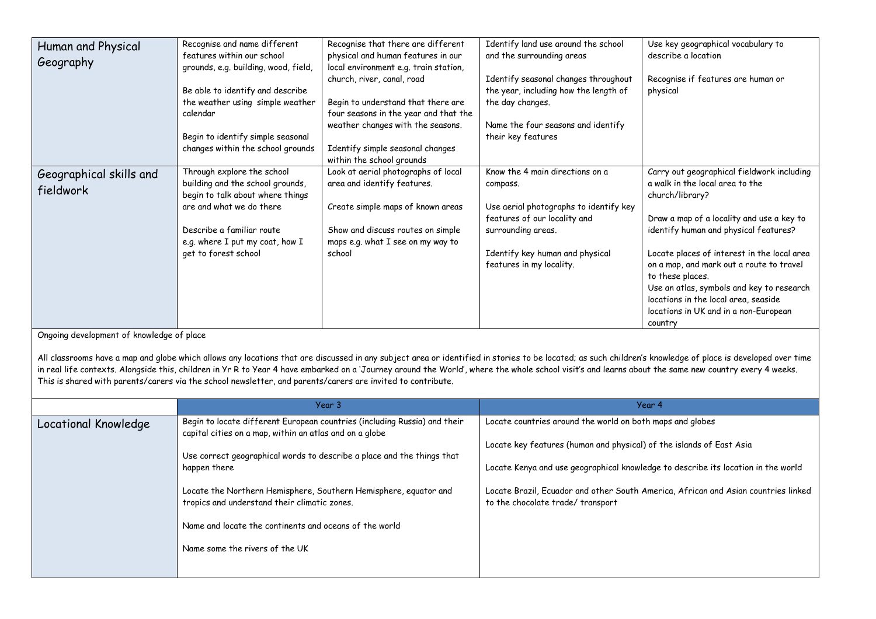| Human and Physical<br>Geography      | Recognise and name different<br>features within our school<br>grounds, e.g. building, wood, field,<br>Be able to identify and describe<br>the weather using simple weather<br>calendar | Recognise that there are different<br>physical and human features in our<br>local environment e.g. train station,<br>church, river, canal, road<br>Begin to understand that there are<br>four seasons in the year and that the | Identify land use around the school<br>and the surrounding areas<br>Identify seasonal changes throughout<br>the year, including how the length of<br>the day changes. | Use key geographical vocabulary to<br>describe a location<br>Recognise if features are human or<br>physical                                                                                                                               |
|--------------------------------------|----------------------------------------------------------------------------------------------------------------------------------------------------------------------------------------|--------------------------------------------------------------------------------------------------------------------------------------------------------------------------------------------------------------------------------|-----------------------------------------------------------------------------------------------------------------------------------------------------------------------|-------------------------------------------------------------------------------------------------------------------------------------------------------------------------------------------------------------------------------------------|
|                                      | Begin to identify simple seasonal<br>changes within the school grounds                                                                                                                 | weather changes with the seasons.<br>Identify simple seasonal changes<br>within the school grounds                                                                                                                             | Name the four seasons and identify<br>their key features                                                                                                              |                                                                                                                                                                                                                                           |
| Geographical skills and<br>fieldwork | Through explore the school<br>building and the school grounds,<br>begin to talk about where things                                                                                     | Look at aerial photographs of local<br>area and identify features.                                                                                                                                                             | Know the 4 main directions on a<br>compass.                                                                                                                           | Carry out geographical fieldwork including<br>a walk in the local area to the<br>church/library?                                                                                                                                          |
|                                      | are and what we do there<br>Describe a familiar route<br>e.g. where I put my coat, how I                                                                                               | Create simple maps of known areas<br>Show and discuss routes on simple<br>maps e.g. what I see on my way to                                                                                                                    | Use aerial photographs to identify key<br>features of our locality and<br>surrounding areas.                                                                          | Draw a map of a locality and use a key to<br>identify human and physical features?                                                                                                                                                        |
|                                      | get to forest school                                                                                                                                                                   | school                                                                                                                                                                                                                         | Identify key human and physical<br>features in my locality.                                                                                                           | Locate places of interest in the local area<br>on a map, and mark out a route to travel<br>to these places.<br>Use an atlas, symbols and key to research<br>locations in the local area, seaside<br>locations in UK and in a non-European |
|                                      |                                                                                                                                                                                        |                                                                                                                                                                                                                                |                                                                                                                                                                       | country                                                                                                                                                                                                                                   |

Ongoing development of knowledge of place

All classrooms have a map and globe which allows any locations that are discussed in any subject area or identified in stories to be located; as such children's knowledge of place is developed over time in real life contexts. Alongside this, children in Yr R to Year 4 have embarked on a 'Journey around the World', where the whole school visit's and learns about the same new country every 4 weeks. This is shared with parents/carers via the school newsletter, and parents/carers are invited to contribute.

|                      | Year 3                                                                                                                               | Year 4                                                                                                                 |
|----------------------|--------------------------------------------------------------------------------------------------------------------------------------|------------------------------------------------------------------------------------------------------------------------|
| Locational Knowledge | Begin to locate different European countries (including Russia) and their<br>capital cities on a map, within an atlas and on a globe | Locate countries around the world on both maps and globes                                                              |
|                      | Use correct geographical words to describe a place and the things that                                                               | Locate key features (human and physical) of the islands of East Asia                                                   |
|                      | happen there                                                                                                                         | Locate Kenya and use geographical knowledge to describe its location in the world                                      |
|                      | Locate the Northern Hemisphere, Southern Hemisphere, equator and<br>tropics and understand their climatic zones.                     | Locate Brazil, Ecuador and other South America, African and Asian countries linked<br>to the chocolate trade/transport |
|                      | Name and locate the continents and oceans of the world                                                                               |                                                                                                                        |
|                      | Name some the rivers of the UK                                                                                                       |                                                                                                                        |
|                      |                                                                                                                                      |                                                                                                                        |